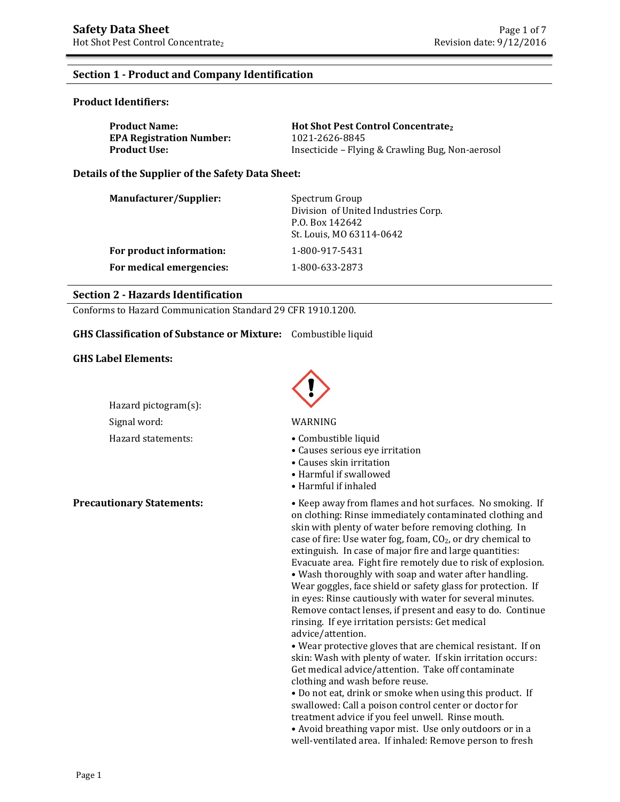## **Section 1 - Product and Company Identification**

#### **Product Identifiers:**

| <b>Product Name:</b>            | <b>Hot Shot Pest Control Concentrate</b>         |
|---------------------------------|--------------------------------------------------|
| <b>EPA Registration Number:</b> | 1021-2626-8845                                   |
| Product Use: .                  | Insecticide – Flying & Crawling Bug, Non-aerosol |

**Details of the Supplier of the Safety Data Sheet:** 

| Manufacturer/Supplier:   | Spectrum Group<br>Division of United Industries Corp.<br>P.O. Box 142642<br>St. Louis, MO 63114-0642 |
|--------------------------|------------------------------------------------------------------------------------------------------|
| For product information: | 1-800-917-5431                                                                                       |
| For medical emergencies: | 1-800-633-2873                                                                                       |

### **Section 2 - Hazards Identification**

Conforms to Hazard Communication Standard 29 CFR 1910.1200.

#### **GHS Classification of Substance or Mixture:** Combustible liquid

#### **GHS Label Elements:**

Hazard pictogram(s): Signal word: WARNING



- Hazard statements: Combustible liquid
	- Causes serious eye irritation
	- Causes skin irritation
	- Harmful if swallowed
	- Harmful if inhaled

**Precautionary Statements:** • **•** Keep away from flames and hot surfaces. No smoking. If on clothing: Rinse immediately contaminated clothing and skin with plenty of water before removing clothing. In case of fire: Use water fog, foam, CO<sub>2</sub>, or dry chemical to extinguish. In case of major fire and large quantities: Evacuate area. Fight fire remotely due to risk of explosion. • Wash thoroughly with soap and water after handling. Wear goggles, face shield or safety glass for protection. If in eyes: Rinse cautiously with water for several minutes. Remove contact lenses, if present and easy to do. Continue rinsing. If eye irritation persists: Get medical advice/attention.

• Wear protective gloves that are chemical resistant. If on skin: Wash with plenty of water. If skin irritation occurs: Get medical advice/attention. Take off contaminate clothing and wash before reuse.

• Do not eat, drink or smoke when using this product. If swallowed: Call a poison control center or doctor for treatment advice if you feel unwell. Rinse mouth.

• Avoid breathing vapor mist. Use only outdoors or in a well-ventilated area. If inhaled: Remove person to fresh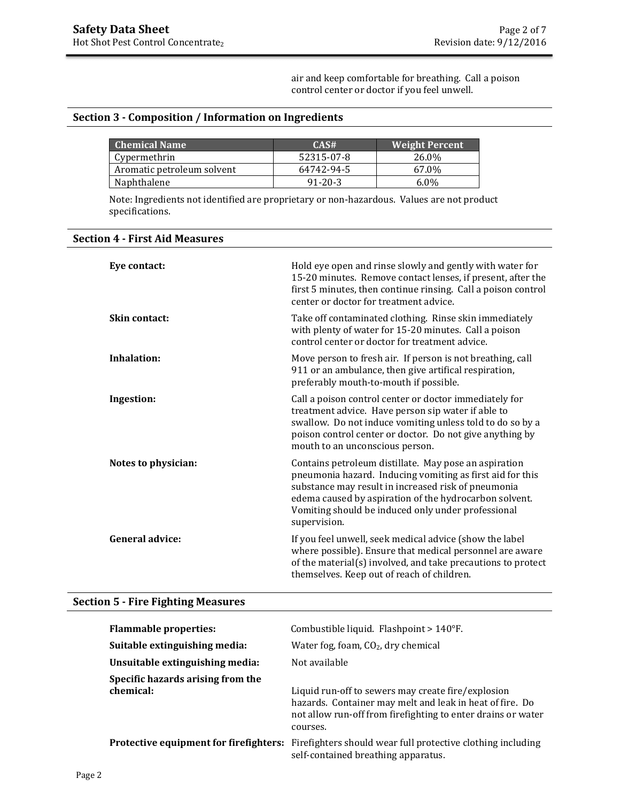air and keep comfortable for breathing. Call a poison control center or doctor if you feel unwell.

## **Section 3 - Composition / Information on Ingredients**

| <b>Chemical Name</b>       | CAS#          | <b>Weight Percent</b> |
|----------------------------|---------------|-----------------------|
| Cypermethrin               | 52315-07-8    | 26.0%                 |
| Aromatic petroleum solvent | 64742-94-5    | 67.0%                 |
| Naphthalene                | $91 - 20 - 3$ | $6.0\%$               |

Note: Ingredients not identified are proprietary or non-hazardous. Values are not product specifications.

| <b>Section 4 - First Aid Measures</b> |  |  |
|---------------------------------------|--|--|
|---------------------------------------|--|--|

| Eve contact:           | Hold eye open and rinse slowly and gently with water for<br>15-20 minutes. Remove contact lenses, if present, after the<br>first 5 minutes, then continue rinsing. Call a poison control<br>center or doctor for treatment advice.                                                                        |
|------------------------|-----------------------------------------------------------------------------------------------------------------------------------------------------------------------------------------------------------------------------------------------------------------------------------------------------------|
| Skin contact:          | Take off contaminated clothing. Rinse skin immediately<br>with plenty of water for 15-20 minutes. Call a poison<br>control center or doctor for treatment advice.                                                                                                                                         |
| Inhalation:            | Move person to fresh air. If person is not breathing, call<br>911 or an ambulance, then give artifical respiration,<br>preferably mouth-to-mouth if possible.                                                                                                                                             |
| Ingestion:             | Call a poison control center or doctor immediately for<br>treatment advice. Have person sip water if able to<br>swallow. Do not induce vomiting unless told to do so by a<br>poison control center or doctor. Do not give anything by<br>mouth to an unconscious person.                                  |
| Notes to physician:    | Contains petroleum distillate. May pose an aspiration<br>pneumonia hazard. Inducing vomiting as first aid for this<br>substance may result in increased risk of pneumonia<br>edema caused by aspiration of the hydrocarbon solvent.<br>Vomiting should be induced only under professional<br>supervision. |
| <b>General advice:</b> | If you feel unwell, seek medical advice (show the label<br>where possible). Ensure that medical personnel are aware<br>of the material(s) involved, and take precautions to protect<br>themselves. Keep out of reach of children.                                                                         |

## **Section 5 - Fire Fighting Measures**

| <b>Flammable properties:</b><br>Suitable extinguishing media:                     | Combustible liquid. Flashpoint $>140^{\circ}$ F.<br>Water fog, foam, $CO2$ , dry chemical<br>Not available                                                                     |
|-----------------------------------------------------------------------------------|--------------------------------------------------------------------------------------------------------------------------------------------------------------------------------|
| Unsuitable extinguishing media:<br>Specific hazards arising from the<br>chemical: | Liquid run-off to sewers may create fire/explosion<br>hazards. Container may melt and leak in heat of fire. Do<br>not allow run-off from firefighting to enter drains or water |
| Protective equipment for firefighters:                                            | courses.<br>Firefighters should wear full protective clothing including<br>self-contained breathing apparatus.                                                                 |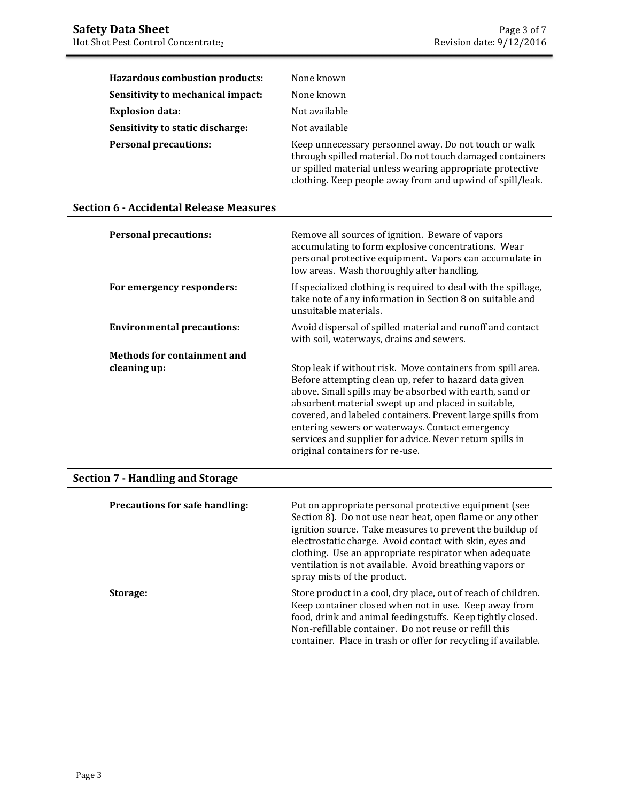| <b>Hazardous combustion products:</b> | None known                                                                                                                                                                                                                                   |
|---------------------------------------|----------------------------------------------------------------------------------------------------------------------------------------------------------------------------------------------------------------------------------------------|
| Sensitivity to mechanical impact:     | None known                                                                                                                                                                                                                                   |
| <b>Explosion data:</b>                | Not available                                                                                                                                                                                                                                |
| Sensitivity to static discharge:      | Not available                                                                                                                                                                                                                                |
| <b>Personal precautions:</b>          | Keep unnecessary personnel away. Do not touch or walk<br>through spilled material. Do not touch damaged containers<br>or spilled material unless wearing appropriate protective<br>clothing. Keep people away from and upwind of spill/leak. |

## **Section 6 - Accidental Release Measures**

| <b>Personal precautions:</b>       | Remove all sources of ignition. Beware of vapors<br>accumulating to form explosive concentrations. Wear<br>personal protective equipment. Vapors can accumulate in<br>low areas. Wash thoroughly after handling.                                                                                                                                                                                                                                        |
|------------------------------------|---------------------------------------------------------------------------------------------------------------------------------------------------------------------------------------------------------------------------------------------------------------------------------------------------------------------------------------------------------------------------------------------------------------------------------------------------------|
| For emergency responders:          | If specialized clothing is required to deal with the spillage,<br>take note of any information in Section 8 on suitable and<br>unsuitable materials.                                                                                                                                                                                                                                                                                                    |
| <b>Environmental precautions:</b>  | Avoid dispersal of spilled material and runoff and contact<br>with soil, waterways, drains and sewers.                                                                                                                                                                                                                                                                                                                                                  |
| <b>Methods for containment and</b> |                                                                                                                                                                                                                                                                                                                                                                                                                                                         |
| cleaning up:                       | Stop leak if without risk. Move containers from spill area.<br>Before attempting clean up, refer to hazard data given<br>above. Small spills may be absorbed with earth, sand or<br>absorbent material swept up and placed in suitable,<br>covered, and labeled containers. Prevent large spills from<br>entering sewers or waterways. Contact emergency<br>services and supplier for advice. Never return spills in<br>original containers for re-use. |

# **Section 7 - Handling and Storage**

| Precautions for safe handling: | Put on appropriate personal protective equipment (see<br>Section 8). Do not use near heat, open flame or any other<br>ignition source. Take measures to prevent the buildup of<br>electrostatic charge. Avoid contact with skin, eyes and<br>clothing. Use an appropriate respirator when adequate<br>ventilation is not available. Avoid breathing vapors or<br>spray mists of the product. |
|--------------------------------|----------------------------------------------------------------------------------------------------------------------------------------------------------------------------------------------------------------------------------------------------------------------------------------------------------------------------------------------------------------------------------------------|
| Storage:                       | Store product in a cool, dry place, out of reach of children.<br>Keep container closed when not in use. Keep away from<br>food, drink and animal feedingstuffs. Keep tightly closed.<br>Non-refillable container. Do not reuse or refill this<br>container. Place in trash or offer for recycling if available.                                                                              |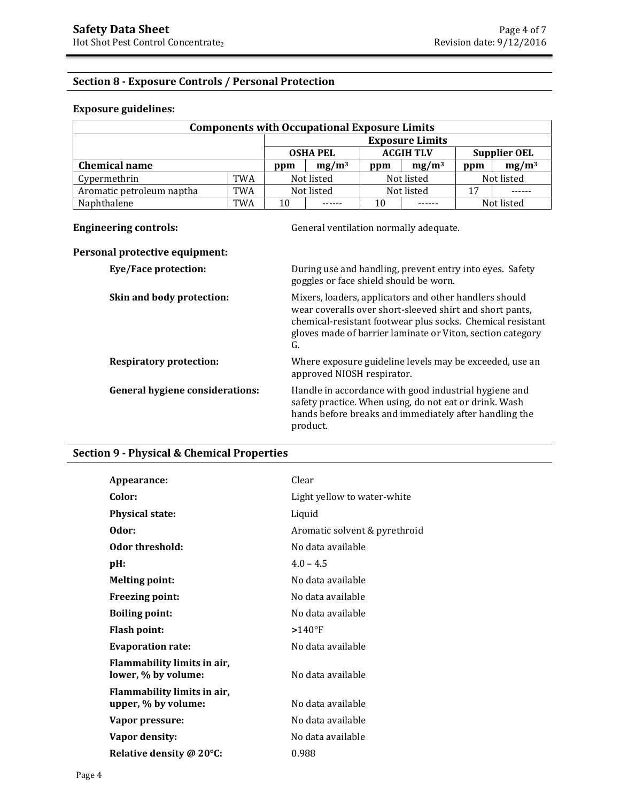## **Section 8 - Exposure Controls / Personal Protection**

### **Exposure guidelines:**

| <b>Components with Occupational Exposure Limits</b> |                        |            |                 |            |                  |     |                     |
|-----------------------------------------------------|------------------------|------------|-----------------|------------|------------------|-----|---------------------|
|                                                     | <b>Exposure Limits</b> |            |                 |            |                  |     |                     |
|                                                     |                        |            | <b>OSHA PEL</b> |            | <b>ACGIH TLV</b> |     | <b>Supplier OEL</b> |
| <b>Chemical name</b>                                |                        | ppm        | $mg/m^3$        | ppm        | $mg/m^3$         | ppm | $mg/m^3$            |
| Cypermethrin                                        | <b>TWA</b>             | Not listed |                 |            | Not listed       |     | Not listed          |
| Aromatic petroleum naptha                           | <b>TWA</b>             | Not listed |                 | Not listed |                  | 17  |                     |
| Naphthalene                                         | TWA                    | 10         |                 | 10         |                  |     | Not listed          |

**Engineering controls: Controls: General ventilation normally adequate.** 

## **Personal protective equipment:**

| Eye/Face protection:                   | During use and handling, prevent entry into eyes. Safety<br>goggles or face shield should be worn.                                                                                                                                                   |
|----------------------------------------|------------------------------------------------------------------------------------------------------------------------------------------------------------------------------------------------------------------------------------------------------|
| Skin and body protection:              | Mixers, loaders, applicators and other handlers should<br>wear coveralls over short-sleeved shirt and short pants,<br>chemical-resistant footwear plus socks. Chemical resistant<br>gloves made of barrier laminate or Viton, section category<br>G. |
| <b>Respiratory protection:</b>         | Where exposure guideline levels may be exceeded, use an<br>approved NIOSH respirator.                                                                                                                                                                |
| <b>General hygiene considerations:</b> | Handle in accordance with good industrial hygiene and<br>safety practice. When using, do not eat or drink. Wash<br>hands before breaks and immediately after handling the<br>product.                                                                |

## **Section 9 - Physical & Chemical Properties**

| Appearance:                                        | Clear                         |
|----------------------------------------------------|-------------------------------|
| Color:                                             | Light yellow to water-white   |
| <b>Physical state:</b>                             | Liquid                        |
| Odor:                                              | Aromatic solvent & pyrethroid |
| Odor threshold:                                    | No data available             |
| $pH$ :                                             | $4.0 - 4.5$                   |
| <b>Melting point:</b>                              | No data available             |
| <b>Freezing point:</b>                             | No data available             |
| <b>Boiling point:</b>                              | No data available             |
| <b>Flash point:</b>                                | $>140^{\circ}$ F              |
| <b>Evaporation rate:</b>                           | No data available             |
| Flammability limits in air,<br>lower, % by volume: | No data available             |
| Flammability limits in air,<br>upper, % by volume: | No data available             |
| Vapor pressure:                                    | No data available             |
| Vapor density:                                     | No data available             |
| Relative density @ 20°C:                           | 0.988                         |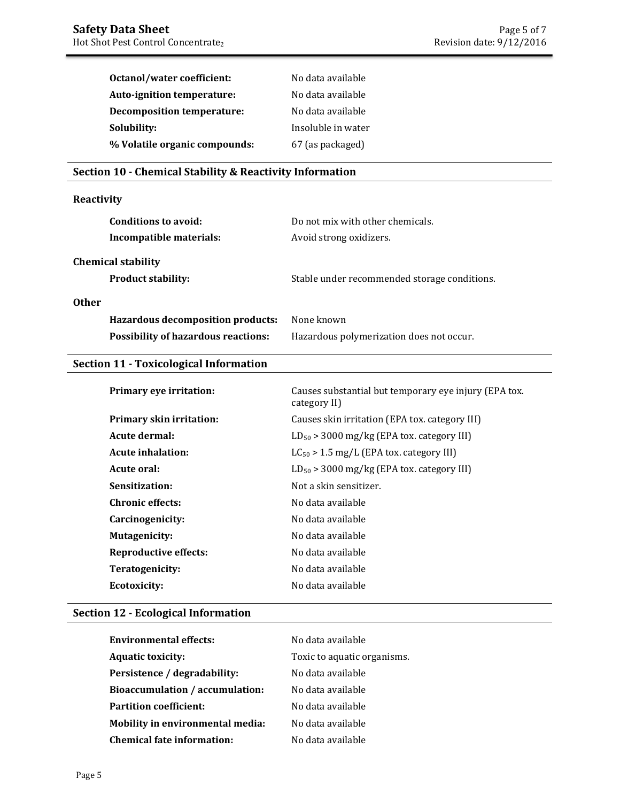| Octanol/water coefficient:        | No data available  |
|-----------------------------------|--------------------|
| Auto-ignition temperature:        | No data available  |
| <b>Decomposition temperature:</b> | No data available  |
| Solubility:                       | Insoluble in water |
| % Volatile organic compounds:     | 67 (as packaged)   |

## **Section 10 - Chemical Stability & Reactivity Information**

## **Reactivity**

| Conditions to avoid:<br>Incompatible materials:        | Do not mix with other chemicals.<br>Avoid strong oxidizers. |
|--------------------------------------------------------|-------------------------------------------------------------|
| <b>Chemical stability</b><br><b>Product stability:</b> | Stable under recommended storage conditions.                |
| <b>Other</b>                                           |                                                             |
| Hazardous decomposition products:                      | None known                                                  |
| <b>Possibility of hazardous reactions:</b>             | Hazardous polymerization does not occur.                    |

## **Section 11 - Toxicological Information**

| Primary eye irritation:      | Causes substantial but temporary eye injury (EPA tox.<br>category II) |
|------------------------------|-----------------------------------------------------------------------|
| Primary skin irritation:     | Causes skin irritation (EPA tox. category III)                        |
| Acute dermal:                | $LD_{50}$ > 3000 mg/kg (EPA tox. category III)                        |
| Acute inhalation:            | $LC_{50}$ > 1.5 mg/L (EPA tox. category III)                          |
| Acute oral:                  | $LD_{50}$ > 3000 mg/kg (EPA tox. category III)                        |
| Sensitization:               | Not a skin sensitizer.                                                |
| <b>Chronic effects:</b>      | No data available                                                     |
| Carcinogenicity:             | No data available                                                     |
| Mutagenicity:                | No data available                                                     |
| <b>Reproductive effects:</b> | No data available                                                     |
| Teratogenicity:              | No data available                                                     |
| <b>Ecotoxicity:</b>          | No data available                                                     |

## **Section 12 - Ecological Information**

| <b>Environmental effects:</b>           | No data available           |
|-----------------------------------------|-----------------------------|
| <b>Aquatic toxicity:</b>                | Toxic to aquatic organisms. |
| Persistence / degradability:            | No data available           |
| Bioaccumulation / accumulation:         | No data available           |
| <b>Partition coefficient:</b>           | No data available           |
| <b>Mobility in environmental media:</b> | No data available           |
| <b>Chemical fate information:</b>       | No data available           |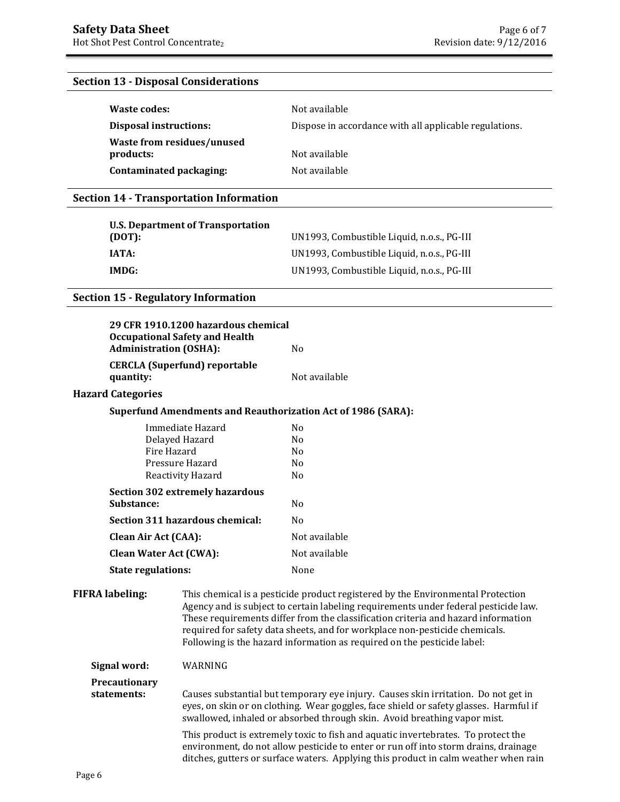### **Section 13 - Disposal Considerations**

| Waste codes:                  | Not available                                          |
|-------------------------------|--------------------------------------------------------|
| <b>Disposal instructions:</b> | Dispose in accordance with all applicable regulations. |
| Waste from residues/unused    |                                                        |
| products:                     | Not available                                          |
| Contaminated packaging:       | Not available                                          |

### **Section 14 - Transportation Information**

| U.S. Department of Transportation<br>(DOT): | UN1993, Combustible Liquid, n.o.s., PG-III |
|---------------------------------------------|--------------------------------------------|
| IATA:                                       | UN1993, Combustible Liquid, n.o.s., PG-III |
| IMDG:                                       | UN1993, Combustible Liquid, n.o.s., PG-III |

#### **Section 15 - Regulatory Information**

| <b>Administration (OSHA):</b> | 29 CFR 1910.1200 hazardous chemical<br><b>Occupational Safety and Health</b> | N <sub>0</sub>                                                                                                                                                                                                                                            |
|-------------------------------|------------------------------------------------------------------------------|-----------------------------------------------------------------------------------------------------------------------------------------------------------------------------------------------------------------------------------------------------------|
| quantity:                     | <b>CERCLA (Superfund) reportable</b>                                         | Not available                                                                                                                                                                                                                                             |
| <b>Hazard Categories</b>      |                                                                              |                                                                                                                                                                                                                                                           |
|                               |                                                                              | <b>Superfund Amendments and Reauthorization Act of 1986 (SARA):</b>                                                                                                                                                                                       |
| Fire Hazard                   | Immediate Hazard<br>Delayed Hazard<br>Pressure Hazard<br>Reactivity Hazard   | N <sub>0</sub><br>N <sub>0</sub><br>N <sub>0</sub><br>N <sub>0</sub><br>N <sub>0</sub>                                                                                                                                                                    |
| Substance:                    | <b>Section 302 extremely hazardous</b>                                       | N <sub>0</sub>                                                                                                                                                                                                                                            |
|                               | Section 311 hazardous chemical:                                              | N <sub>0</sub>                                                                                                                                                                                                                                            |
| Clean Air Act (CAA):          |                                                                              | Not available                                                                                                                                                                                                                                             |
| <b>Clean Water Act (CWA):</b> |                                                                              | Not available                                                                                                                                                                                                                                             |
| <b>State regulations:</b>     |                                                                              | None                                                                                                                                                                                                                                                      |
| <b>FIFRA labeling:</b>        |                                                                              | This chemical is a pesticide product registered by the Environmental Protection<br>Agency and is subject to certain labeling requirements under federal pesticide la<br>These requirements differ from the classification criteria and hazard information |

nts under federal pesticide law. These requirements differ from the classification criteria and hazard information required for safety data sheets, and for workplace non-pesticide chemicals. Following is the hazard information as required on the pesticide label:

**Signal word:** WARNING

### **Precautionary statements:** Causes substantial but temporary eye injury. Causes skin irritation. Do not get in eyes, on skin or on clothing. Wear goggles, face shield or safety glasses. Harmful if swallowed, inhaled or absorbed through skin. Avoid breathing vapor mist.

 This product is extremely toxic to fish and aquatic invertebrates. To protect the environment, do not allow pesticide to enter or run off into storm drains, drainage ditches, gutters or surface waters. Applying this product in calm weather when rain